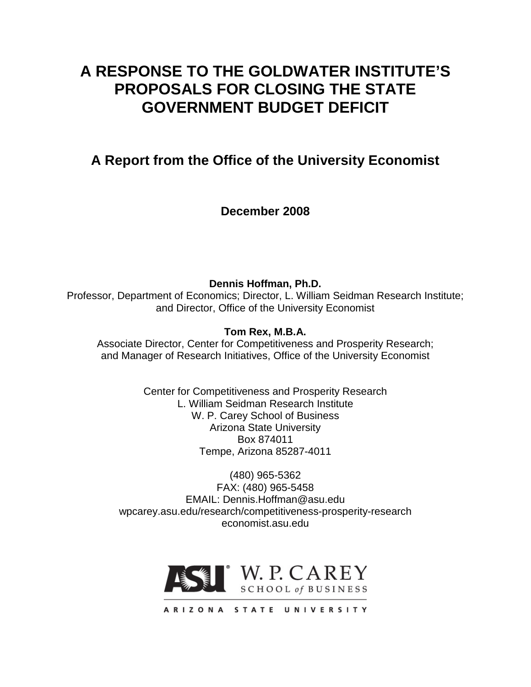# **A RESPONSE TO THE GOLDWATER INSTITUTE'S PROPOSALS FOR CLOSING THE STATE GOVERNMENT BUDGET DEFICIT**

**A Report from the Office of the University Economist**

**December 2008**

**Dennis Hoffman, Ph.D.** Professor, Department of Economics; Director, L. William Seidman Research Institute; and Director, Office of the University Economist

**Tom Rex, M.B.A.**

Associate Director, Center for Competitiveness and Prosperity Research; and Manager of Research Initiatives, Office of the University Economist

> Center for Competitiveness and Prosperity Research L. William Seidman Research Institute W. P. Carey School of Business Arizona State University Box 874011 Tempe, Arizona 85287-4011

(480) 965-5362 FAX: (480) 965-5458 EMAIL: Dennis.Hoffman@asu.edu wpcarey.asu.edu/research/competitiveness-prosperity-research economist.asu.edu

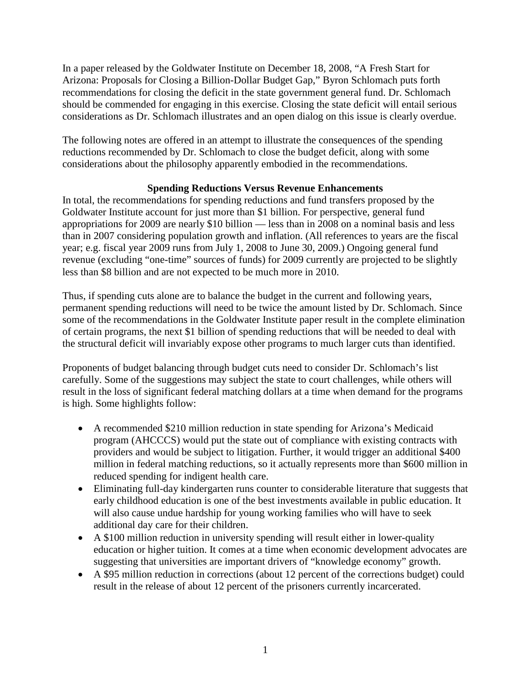In a paper released by the Goldwater Institute on December 18, 2008, "A Fresh Start for Arizona: Proposals for Closing a Billion-Dollar Budget Gap," Byron Schlomach puts forth recommendations for closing the deficit in the state government general fund. Dr. Schlomach should be commended for engaging in this exercise. Closing the state deficit will entail serious considerations as Dr. Schlomach illustrates and an open dialog on this issue is clearly overdue.

The following notes are offered in an attempt to illustrate the consequences of the spending reductions recommended by Dr. Schlomach to close the budget deficit, along with some considerations about the philosophy apparently embodied in the recommendations.

## **Spending Reductions Versus Revenue Enhancements**

In total, the recommendations for spending reductions and fund transfers proposed by the Goldwater Institute account for just more than \$1 billion. For perspective, general fund appropriations for 2009 are nearly \$10 billion — less than in 2008 on a nominal basis and less than in 2007 considering population growth and inflation. (All references to years are the fiscal year; e.g. fiscal year 2009 runs from July 1, 2008 to June 30, 2009.) Ongoing general fund revenue (excluding "one-time" sources of funds) for 2009 currently are projected to be slightly less than \$8 billion and are not expected to be much more in 2010.

Thus, if spending cuts alone are to balance the budget in the current and following years, permanent spending reductions will need to be twice the amount listed by Dr. Schlomach. Since some of the recommendations in the Goldwater Institute paper result in the complete elimination of certain programs, the next \$1 billion of spending reductions that will be needed to deal with the structural deficit will invariably expose other programs to much larger cuts than identified.

Proponents of budget balancing through budget cuts need to consider Dr. Schlomach's list carefully. Some of the suggestions may subject the state to court challenges, while others will result in the loss of significant federal matching dollars at a time when demand for the programs is high. Some highlights follow:

- A recommended \$210 million reduction in state spending for Arizona's Medicaid program (AHCCCS) would put the state out of compliance with existing contracts with providers and would be subject to litigation. Further, it would trigger an additional \$400 million in federal matching reductions, so it actually represents more than \$600 million in reduced spending for indigent health care.
- Eliminating full-day kindergarten runs counter to considerable literature that suggests that early childhood education is one of the best investments available in public education. It will also cause undue hardship for young working families who will have to seek additional day care for their children.
- A \$100 million reduction in university spending will result either in lower-quality education or higher tuition. It comes at a time when economic development advocates are suggesting that universities are important drivers of "knowledge economy" growth.
- A \$95 million reduction in corrections (about 12 percent of the corrections budget) could result in the release of about 12 percent of the prisoners currently incarcerated.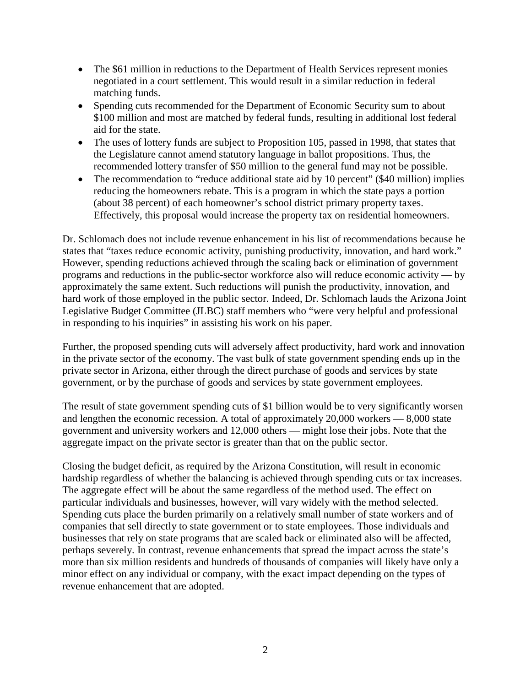- The \$61 million in reductions to the Department of Health Services represent monies negotiated in a court settlement. This would result in a similar reduction in federal matching funds.
- Spending cuts recommended for the Department of Economic Security sum to about \$100 million and most are matched by federal funds, resulting in additional lost federal aid for the state.
- The uses of lottery funds are subject to Proposition 105, passed in 1998, that states that the Legislature cannot amend statutory language in ballot propositions. Thus, the recommended lottery transfer of \$50 million to the general fund may not be possible.
- The recommendation to "reduce additional state aid by 10 percent" (\$40 million) implies reducing the homeowners rebate. This is a program in which the state pays a portion (about 38 percent) of each homeowner's school district primary property taxes. Effectively, this proposal would increase the property tax on residential homeowners.

Dr. Schlomach does not include revenue enhancement in his list of recommendations because he states that "taxes reduce economic activity, punishing productivity, innovation, and hard work." However, spending reductions achieved through the scaling back or elimination of government programs and reductions in the public-sector workforce also will reduce economic activity — by approximately the same extent. Such reductions will punish the productivity, innovation, and hard work of those employed in the public sector. Indeed, Dr. Schlomach lauds the Arizona Joint Legislative Budget Committee (JLBC) staff members who "were very helpful and professional in responding to his inquiries" in assisting his work on his paper.

Further, the proposed spending cuts will adversely affect productivity, hard work and innovation in the private sector of the economy. The vast bulk of state government spending ends up in the private sector in Arizona, either through the direct purchase of goods and services by state government, or by the purchase of goods and services by state government employees.

The result of state government spending cuts of \$1 billion would be to very significantly worsen and lengthen the economic recession. A total of approximately 20,000 workers — 8,000 state government and university workers and 12,000 others — might lose their jobs. Note that the aggregate impact on the private sector is greater than that on the public sector.

Closing the budget deficit, as required by the Arizona Constitution, will result in economic hardship regardless of whether the balancing is achieved through spending cuts or tax increases. The aggregate effect will be about the same regardless of the method used. The effect on particular individuals and businesses, however, will vary widely with the method selected. Spending cuts place the burden primarily on a relatively small number of state workers and of companies that sell directly to state government or to state employees. Those individuals and businesses that rely on state programs that are scaled back or eliminated also will be affected, perhaps severely. In contrast, revenue enhancements that spread the impact across the state's more than six million residents and hundreds of thousands of companies will likely have only a minor effect on any individual or company, with the exact impact depending on the types of revenue enhancement that are adopted.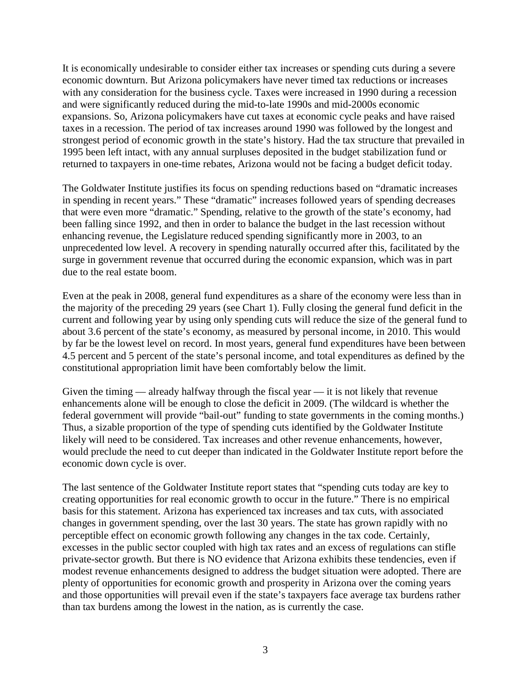It is economically undesirable to consider either tax increases or spending cuts during a severe economic downturn. But Arizona policymakers have never timed tax reductions or increases with any consideration for the business cycle. Taxes were increased in 1990 during a recession and were significantly reduced during the mid-to-late 1990s and mid-2000s economic expansions. So, Arizona policymakers have cut taxes at economic cycle peaks and have raised taxes in a recession. The period of tax increases around 1990 was followed by the longest and strongest period of economic growth in the state's history. Had the tax structure that prevailed in 1995 been left intact, with any annual surpluses deposited in the budget stabilization fund or returned to taxpayers in one-time rebates, Arizona would not be facing a budget deficit today.

The Goldwater Institute justifies its focus on spending reductions based on "dramatic increases in spending in recent years." These "dramatic" increases followed years of spending decreases that were even more "dramatic." Spending, relative to the growth of the state's economy, had been falling since 1992, and then in order to balance the budget in the last recession without enhancing revenue, the Legislature reduced spending significantly more in 2003, to an unprecedented low level. A recovery in spending naturally occurred after this, facilitated by the surge in government revenue that occurred during the economic expansion, which was in part due to the real estate boom.

Even at the peak in 2008, general fund expenditures as a share of the economy were less than in the majority of the preceding 29 years (see Chart 1). Fully closing the general fund deficit in the current and following year by using only spending cuts will reduce the size of the general fund to about 3.6 percent of the state's economy, as measured by personal income, in 2010. This would by far be the lowest level on record. In most years, general fund expenditures have been between 4.5 percent and 5 percent of the state's personal income, and total expenditures as defined by the constitutional appropriation limit have been comfortably below the limit.

Given the timing — already halfway through the fiscal year — it is not likely that revenue enhancements alone will be enough to close the deficit in 2009. (The wildcard is whether the federal government will provide "bail-out" funding to state governments in the coming months.) Thus, a sizable proportion of the type of spending cuts identified by the Goldwater Institute likely will need to be considered. Tax increases and other revenue enhancements, however, would preclude the need to cut deeper than indicated in the Goldwater Institute report before the economic down cycle is over.

The last sentence of the Goldwater Institute report states that "spending cuts today are key to creating opportunities for real economic growth to occur in the future." There is no empirical basis for this statement. Arizona has experienced tax increases and tax cuts, with associated changes in government spending, over the last 30 years. The state has grown rapidly with no perceptible effect on economic growth following any changes in the tax code. Certainly, excesses in the public sector coupled with high tax rates and an excess of regulations can stifle private-sector growth. But there is NO evidence that Arizona exhibits these tendencies, even if modest revenue enhancements designed to address the budget situation were adopted. There are plenty of opportunities for economic growth and prosperity in Arizona over the coming years and those opportunities will prevail even if the state's taxpayers face average tax burdens rather than tax burdens among the lowest in the nation, as is currently the case.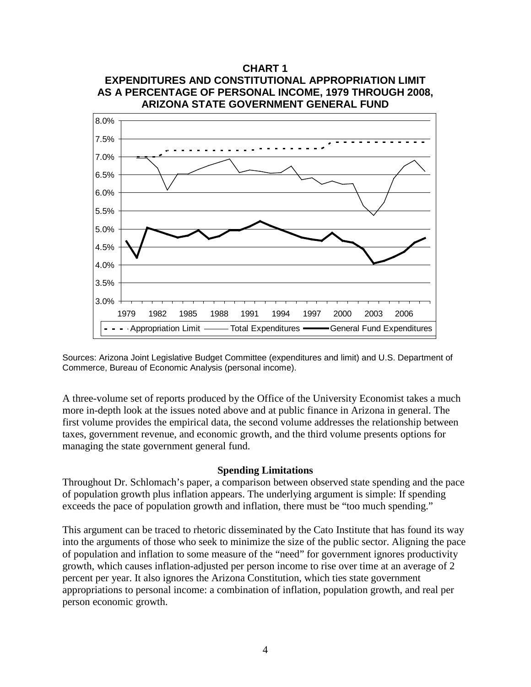

Sources: Arizona Joint Legislative Budget Committee (expenditures and limit) and U.S. Department of Commerce, Bureau of Economic Analysis (personal income).

A three-volume set of reports produced by the Office of the University Economist takes a much more in-depth look at the issues noted above and at public finance in Arizona in general. The first volume provides the empirical data, the second volume addresses the relationship between taxes, government revenue, and economic growth, and the third volume presents options for managing the state government general fund.

#### **Spending Limitations**

Throughout Dr. Schlomach's paper, a comparison between observed state spending and the pace of population growth plus inflation appears. The underlying argument is simple: If spending exceeds the pace of population growth and inflation, there must be "too much spending."

This argument can be traced to rhetoric disseminated by the Cato Institute that has found its way into the arguments of those who seek to minimize the size of the public sector. Aligning the pace of population and inflation to some measure of the "need" for government ignores productivity growth, which causes inflation-adjusted per person income to rise over time at an average of 2 percent per year. It also ignores the Arizona Constitution, which ties state government appropriations to personal income: a combination of inflation, population growth, and real per person economic growth.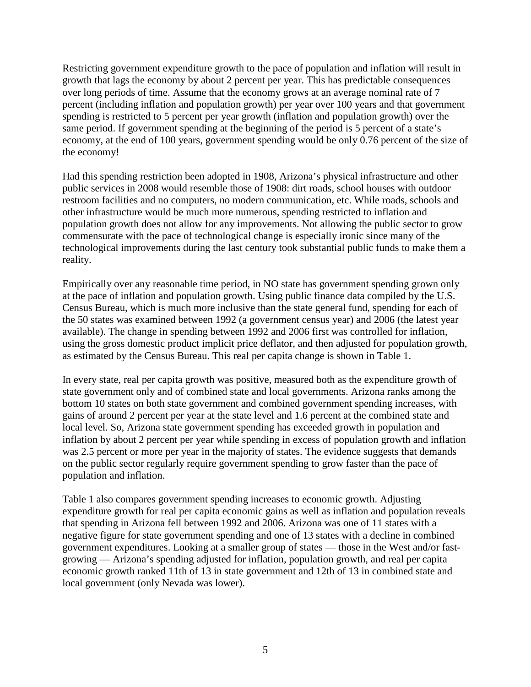Restricting government expenditure growth to the pace of population and inflation will result in growth that lags the economy by about 2 percent per year. This has predictable consequences over long periods of time. Assume that the economy grows at an average nominal rate of 7 percent (including inflation and population growth) per year over 100 years and that government spending is restricted to 5 percent per year growth (inflation and population growth) over the same period. If government spending at the beginning of the period is 5 percent of a state's economy, at the end of 100 years, government spending would be only 0.76 percent of the size of the economy!

Had this spending restriction been adopted in 1908, Arizona's physical infrastructure and other public services in 2008 would resemble those of 1908: dirt roads, school houses with outdoor restroom facilities and no computers, no modern communication, etc. While roads, schools and other infrastructure would be much more numerous, spending restricted to inflation and population growth does not allow for any improvements. Not allowing the public sector to grow commensurate with the pace of technological change is especially ironic since many of the technological improvements during the last century took substantial public funds to make them a reality.

Empirically over any reasonable time period, in NO state has government spending grown only at the pace of inflation and population growth. Using public finance data compiled by the U.S. Census Bureau, which is much more inclusive than the state general fund, spending for each of the 50 states was examined between 1992 (a government census year) and 2006 (the latest year available). The change in spending between 1992 and 2006 first was controlled for inflation, using the gross domestic product implicit price deflator, and then adjusted for population growth, as estimated by the Census Bureau. This real per capita change is shown in Table 1.

In every state, real per capita growth was positive, measured both as the expenditure growth of state government only and of combined state and local governments. Arizona ranks among the bottom 10 states on both state government and combined government spending increases, with gains of around 2 percent per year at the state level and 1.6 percent at the combined state and local level. So, Arizona state government spending has exceeded growth in population and inflation by about 2 percent per year while spending in excess of population growth and inflation was 2.5 percent or more per year in the majority of states. The evidence suggests that demands on the public sector regularly require government spending to grow faster than the pace of population and inflation.

Table 1 also compares government spending increases to economic growth. Adjusting expenditure growth for real per capita economic gains as well as inflation and population reveals that spending in Arizona fell between 1992 and 2006. Arizona was one of 11 states with a negative figure for state government spending and one of 13 states with a decline in combined government expenditures. Looking at a smaller group of states — those in the West and/or fastgrowing — Arizona's spending adjusted for inflation, population growth, and real per capita economic growth ranked 11th of 13 in state government and 12th of 13 in combined state and local government (only Nevada was lower).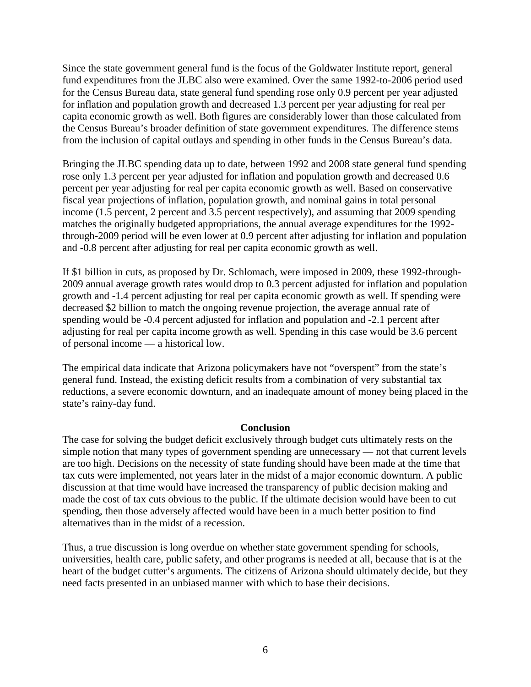Since the state government general fund is the focus of the Goldwater Institute report, general fund expenditures from the JLBC also were examined. Over the same 1992-to-2006 period used for the Census Bureau data, state general fund spending rose only 0.9 percent per year adjusted for inflation and population growth and decreased 1.3 percent per year adjusting for real per capita economic growth as well. Both figures are considerably lower than those calculated from the Census Bureau's broader definition of state government expenditures. The difference stems from the inclusion of capital outlays and spending in other funds in the Census Bureau's data.

Bringing the JLBC spending data up to date, between 1992 and 2008 state general fund spending rose only 1.3 percent per year adjusted for inflation and population growth and decreased 0.6 percent per year adjusting for real per capita economic growth as well. Based on conservative fiscal year projections of inflation, population growth, and nominal gains in total personal income (1.5 percent, 2 percent and 3.5 percent respectively), and assuming that 2009 spending matches the originally budgeted appropriations, the annual average expenditures for the 1992 through-2009 period will be even lower at 0.9 percent after adjusting for inflation and population and -0.8 percent after adjusting for real per capita economic growth as well.

If \$1 billion in cuts, as proposed by Dr. Schlomach, were imposed in 2009, these 1992-through-2009 annual average growth rates would drop to 0.3 percent adjusted for inflation and population growth and -1.4 percent adjusting for real per capita economic growth as well. If spending were decreased \$2 billion to match the ongoing revenue projection, the average annual rate of spending would be -0.4 percent adjusted for inflation and population and -2.1 percent after adjusting for real per capita income growth as well. Spending in this case would be 3.6 percent of personal income — a historical low.

The empirical data indicate that Arizona policymakers have not "overspent" from the state's general fund. Instead, the existing deficit results from a combination of very substantial tax reductions, a severe economic downturn, and an inadequate amount of money being placed in the state's rainy-day fund.

#### **Conclusion**

The case for solving the budget deficit exclusively through budget cuts ultimately rests on the simple notion that many types of government spending are unnecessary — not that current levels are too high. Decisions on the necessity of state funding should have been made at the time that tax cuts were implemented, not years later in the midst of a major economic downturn. A public discussion at that time would have increased the transparency of public decision making and made the cost of tax cuts obvious to the public. If the ultimate decision would have been to cut spending, then those adversely affected would have been in a much better position to find alternatives than in the midst of a recession.

Thus, a true discussion is long overdue on whether state government spending for schools, universities, health care, public safety, and other programs is needed at all, because that is at the heart of the budget cutter's arguments. The citizens of Arizona should ultimately decide, but they need facts presented in an unbiased manner with which to base their decisions.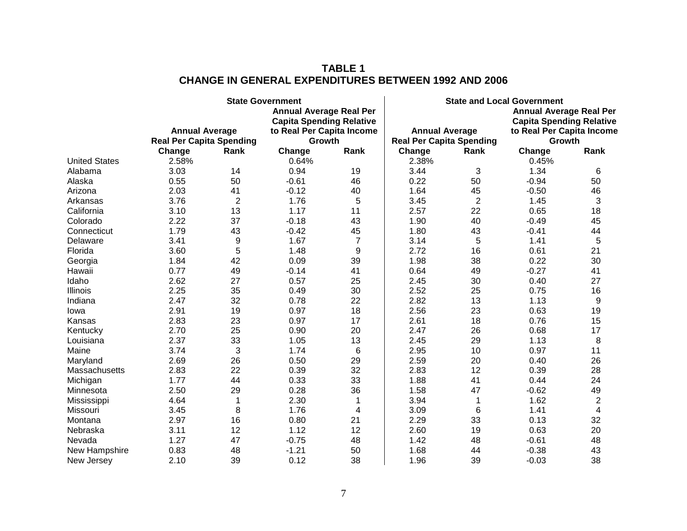## **TABLE 1 CHANGE IN GENERAL EXPENDITURES BETWEEN 1992 AND 2006**

|                      |                                                          |                | <b>State Government</b>             |                | <b>State and Local Government</b>                        |                |                                     |                |  |
|----------------------|----------------------------------------------------------|----------------|-------------------------------------|----------------|----------------------------------------------------------|----------------|-------------------------------------|----------------|--|
|                      |                                                          |                | <b>Annual Average Real Per</b>      |                | <b>Annual Average Real Per</b>                           |                |                                     |                |  |
|                      |                                                          |                | <b>Capita Spending Relative</b>     |                |                                                          |                | <b>Capita Spending Relative</b>     |                |  |
|                      | <b>Annual Average</b><br><b>Real Per Capita Spending</b> |                | to Real Per Capita Income<br>Growth |                | <b>Annual Average</b><br><b>Real Per Capita Spending</b> |                | to Real Per Capita Income<br>Growth |                |  |
|                      |                                                          |                |                                     |                |                                                          |                |                                     |                |  |
|                      | Change                                                   | Rank           | Change                              | Rank           | Change                                                   | Rank           | Change                              | Rank           |  |
| <b>United States</b> | 2.58%                                                    |                | 0.64%                               |                | 2.38%                                                    |                | 0.45%                               |                |  |
| Alabama              | 3.03                                                     | 14             | 0.94                                | 19             | 3.44                                                     | 3              | 1.34                                | 6              |  |
| Alaska               | 0.55                                                     | 50             | $-0.61$                             | 46             | 0.22                                                     | 50             | $-0.94$                             | 50             |  |
| Arizona              | 2.03                                                     | 41             | $-0.12$                             | 40             | 1.64                                                     | 45             | $-0.50$                             | 46             |  |
| Arkansas             | 3.76                                                     | $\overline{2}$ | 1.76                                | 5              | 3.45                                                     | $\overline{2}$ | 1.45                                | 3              |  |
| California           | 3.10                                                     | 13             | 1.17                                | 11             | 2.57                                                     | 22             | 0.65                                | 18             |  |
| Colorado             | 2.22                                                     | 37             | $-0.18$                             | 43             | 1.90                                                     | 40             | $-0.49$                             | 45             |  |
| Connecticut          | 1.79                                                     | 43             | $-0.42$                             | 45             | 1.80                                                     | 43             | $-0.41$                             | 44             |  |
| Delaware             | 3.41                                                     | 9              | 1.67                                | $\overline{7}$ | 3.14                                                     | 5              | 1.41                                | 5              |  |
| Florida              | 3.60                                                     | 5              | 1.48                                | 9              | 2.72                                                     | 16             | 0.61                                | 21             |  |
| Georgia              | 1.84                                                     | 42             | 0.09                                | 39             | 1.98                                                     | 38             | 0.22                                | 30             |  |
| Hawaii               | 0.77                                                     | 49             | $-0.14$                             | 41             | 0.64                                                     | 49             | $-0.27$                             | 41             |  |
| Idaho                | 2.62                                                     | 27             | 0.57                                | 25             | 2.45                                                     | 30             | 0.40                                | 27             |  |
| Illinois             | 2.25                                                     | 35             | 0.49                                | 30             | 2.52                                                     | 25             | 0.75                                | 16             |  |
| Indiana              | 2.47                                                     | 32             | 0.78                                | 22             | 2.82                                                     | 13             | 1.13                                | 9              |  |
| Iowa                 | 2.91                                                     | 19             | 0.97                                | 18             | 2.56                                                     | 23             | 0.63                                | 19             |  |
| Kansas               | 2.83                                                     | 23             | 0.97                                | 17             | 2.61                                                     | 18             | 0.76                                | 15             |  |
| Kentucky             | 2.70                                                     | 25             | 0.90                                | 20             | 2.47                                                     | 26             | 0.68                                | 17             |  |
| Louisiana            | 2.37                                                     | 33             | 1.05                                | 13             | 2.45                                                     | 29             | 1.13                                | 8              |  |
| Maine                | 3.74                                                     | 3              | 1.74                                | 6              | 2.95                                                     | 10             | 0.97                                | 11             |  |
| Maryland             | 2.69                                                     | 26             | 0.50                                | 29             | 2.59                                                     | 20             | 0.40                                | 26             |  |
| Massachusetts        | 2.83                                                     | 22             | 0.39                                | 32             | 2.83                                                     | 12             | 0.39                                | 28             |  |
| Michigan             | 1.77                                                     | 44             | 0.33                                | 33             | 1.88                                                     | 41             | 0.44                                | 24             |  |
| Minnesota            | 2.50                                                     | 29             | 0.28                                | 36             | 1.58                                                     | 47             | $-0.62$                             | 49             |  |
| Mississippi          | 4.64                                                     | 1              | 2.30                                | 1              | 3.94                                                     | 1              | 1.62                                | 2              |  |
| Missouri             | 3.45                                                     | 8              | 1.76                                | 4              | 3.09                                                     | 6              | 1.41                                | $\overline{4}$ |  |
| Montana              | 2.97                                                     | 16             | 0.80                                | 21             | 2.29                                                     | 33             | 0.13                                | 32             |  |
| Nebraska             | 3.11                                                     | 12             | 1.12                                | 12             | 2.60                                                     | 19             | 0.63                                | 20             |  |
| Nevada               | 1.27                                                     | 47             | $-0.75$                             | 48             | 1.42                                                     | 48             | $-0.61$                             | 48             |  |
| New Hampshire        | 0.83                                                     | 48             | $-1.21$                             | 50             | 1.68                                                     | 44             | $-0.38$                             | 43             |  |
| New Jersey           | 2.10                                                     | 39             | 0.12                                | 38             | 1.96                                                     | 39             | $-0.03$                             | 38             |  |